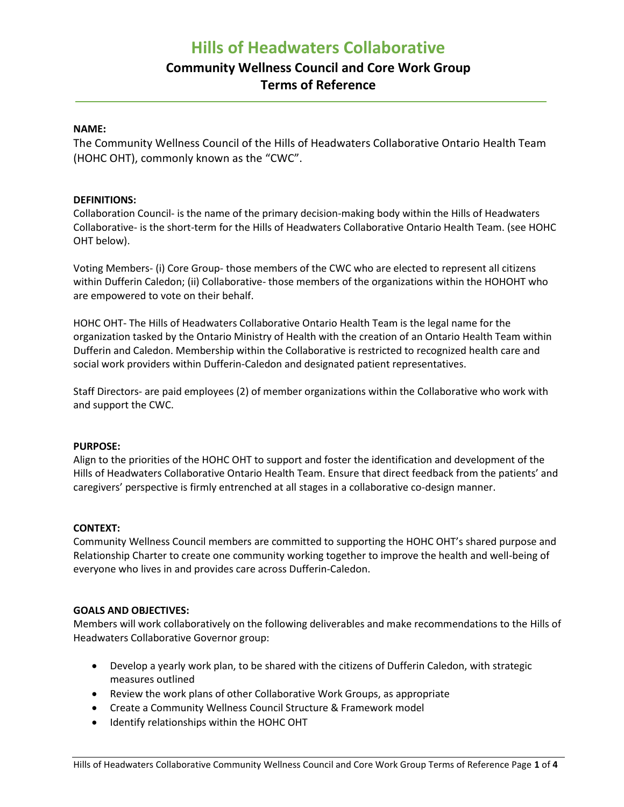# **Hills of Headwaters Collaborative**

# **Community Wellness Council and Core Work Group Terms of Reference**

# **NAME:**

The Community Wellness Council of the Hills of Headwaters Collaborative Ontario Health Team (HOHC OHT), commonly known as the "CWC".

## **DEFINITIONS:**

Collaboration Council- is the name of the primary decision-making body within the Hills of Headwaters Collaborative- is the short-term for the Hills of Headwaters Collaborative Ontario Health Team. (see HOHC OHT below).

Voting Members- (i) Core Group- those members of the CWC who are elected to represent all citizens within Dufferin Caledon; (ii) Collaborative- those members of the organizations within the HOHOHT who are empowered to vote on their behalf.

HOHC OHT- The Hills of Headwaters Collaborative Ontario Health Team is the legal name for the organization tasked by the Ontario Ministry of Health with the creation of an Ontario Health Team within Dufferin and Caledon. Membership within the Collaborative is restricted to recognized health care and social work providers within Dufferin-Caledon and designated patient representatives.

Staff Directors- are paid employees (2) of member organizations within the Collaborative who work with and support the CWC.

#### **PURPOSE:**

Align to the priorities of the HOHC OHT to support and foster the identification and development of the Hills of Headwaters Collaborative Ontario Health Team. Ensure that direct feedback from the patients' and caregivers' perspective is firmly entrenched at all stages in a collaborative co-design manner.

#### **CONTEXT:**

Community Wellness Council members are committed to supporting the HOHC OHT's shared purpose and Relationship Charter to create one community working together to improve the health and well-being of everyone who lives in and provides care across Dufferin-Caledon.

#### **GOALS AND OBJECTIVES:**

Members will work collaboratively on the following deliverables and make recommendations to the Hills of Headwaters Collaborative Governor group:

- Develop a yearly work plan, to be shared with the citizens of Dufferin Caledon, with strategic measures outlined
- Review the work plans of other Collaborative Work Groups, as appropriate
- Create a Community Wellness Council Structure & Framework model
- Identify relationships within the HOHC OHT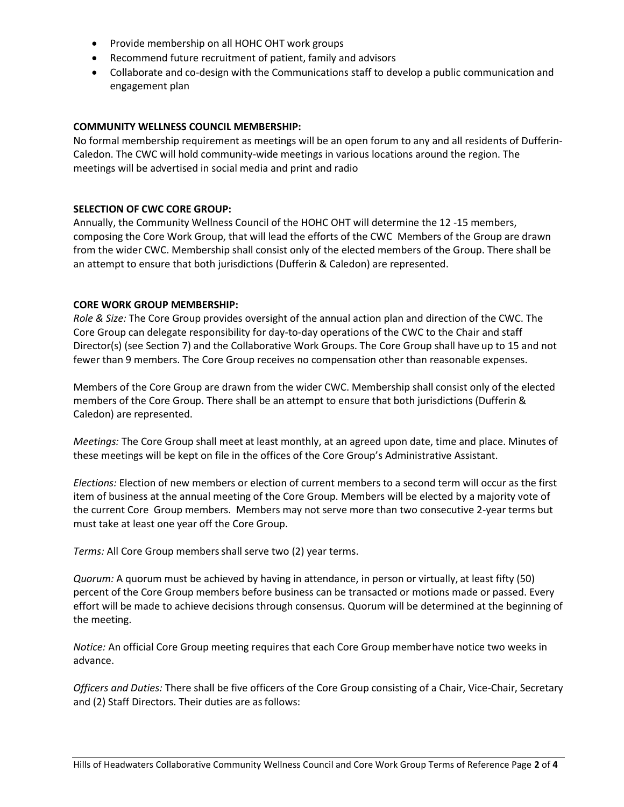- Provide membership on all HOHC OHT work groups
- Recommend future recruitment of patient, family and advisors
- Collaborate and co-design with the Communications staff to develop a public communication and engagement plan

# **COMMUNITY WELLNESS COUNCIL MEMBERSHIP:**

No formal membership requirement as meetings will be an open forum to any and all residents of Dufferin-Caledon. The CWC will hold community-wide meetings in various locations around the region. The meetings will be advertised in social media and print and radio

## **SELECTION OF CWC CORE GROUP:**

Annually, the Community Wellness Council of the HOHC OHT will determine the 12 -15 members, composing the Core Work Group, that will lead the efforts of the CWC Members of the Group are drawn from the wider CWC. Membership shall consist only of the elected members of the Group. There shall be an attempt to ensure that both jurisdictions (Dufferin & Caledon) are represented.

## **CORE WORK GROUP MEMBERSHIP:**

*Role & Size:* The Core Group provides oversight of the annual action plan and direction of the CWC. The Core Group can delegate responsibility for day-to-day operations of the CWC to the Chair and staff Director(s) (see Section 7) and the Collaborative Work Groups. The Core Group shall have up to 15 and not fewer than 9 members. The Core Group receives no compensation other than reasonable expenses.

Members of the Core Group are drawn from the wider CWC. Membership shall consist only of the elected members of the Core Group. There shall be an attempt to ensure that both jurisdictions (Dufferin & Caledon) are represented.

*Meetings:* The Core Group shall meet at least monthly, at an agreed upon date, time and place. Minutes of these meetings will be kept on file in the offices of the Core Group's Administrative Assistant.

*Elections:* Election of new members or election of current members to a second term will occur as the first item of business at the annual meeting of the Core Group. Members will be elected by a majority vote of the current Core Group members. Members may not serve more than two consecutive 2-year terms but must take at least one year off the Core Group.

*Terms:* All Core Group membersshall serve two (2) year terms.

*Quorum:* A quorum must be achieved by having in attendance, in person or virtually, at least fifty (50) percent of the Core Group members before business can be transacted or motions made or passed. Every effort will be made to achieve decisions through consensus. Quorum will be determined at the beginning of the meeting.

*Notice:* An official Core Group meeting requires that each Core Group memberhave notice two weeks in advance.

*Officers and Duties:* There shall be five officers of the Core Group consisting of a Chair, Vice-Chair, Secretary and (2) Staff Directors. Their duties are asfollows: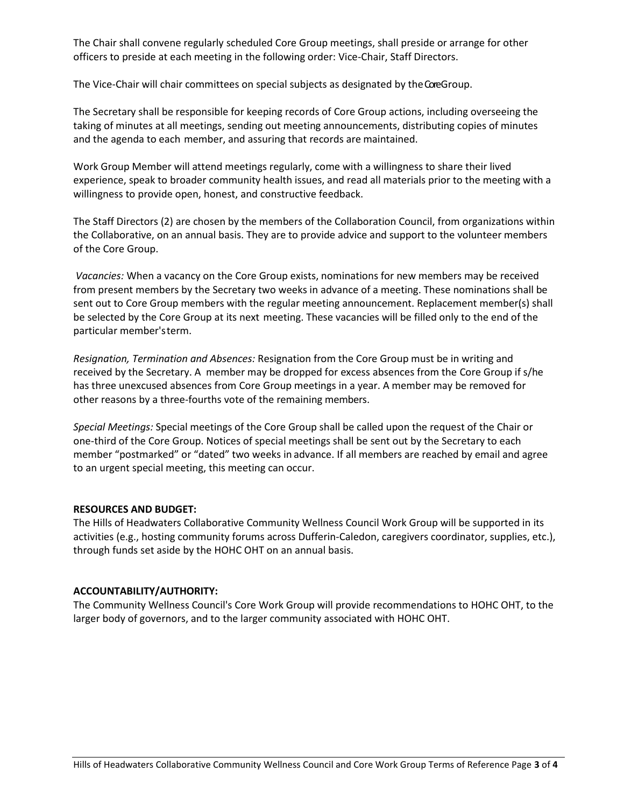The Chair shall convene regularly scheduled Core Group meetings, shall preside or arrange for other officers to preside at each meeting in the following order: Vice-Chair, Staff Directors.

The Vice-Chair will chair committees on special subjects as designated by the Core Group.

The Secretary shall be responsible for keeping records of Core Group actions, including overseeing the taking of minutes at all meetings, sending out meeting announcements, distributing copies of minutes and the agenda to each member, and assuring that records are maintained.

Work Group Member will attend meetings regularly, come with a willingness to share their lived experience, speak to broader community health issues, and read all materials prior to the meeting with a willingness to provide open, honest, and constructive feedback.

The Staff Directors (2) are chosen by the members of the Collaboration Council, from organizations within the Collaborative, on an annual basis. They are to provide advice and support to the volunteer members of the Core Group.

*Vacancies:* When a vacancy on the Core Group exists, nominations for new members may be received from present members by the Secretary two weeks in advance of a meeting. These nominations shall be sent out to Core Group members with the regular meeting announcement. Replacement member(s) shall be selected by the Core Group at its next meeting. These vacancies will be filled only to the end of the particular member'sterm.

*Resignation, Termination and Absences:* Resignation from the Core Group must be in writing and received by the Secretary. A member may be dropped for excess absences from the Core Group if s/he has three unexcused absences from Core Group meetings in a year. A member may be removed for other reasons by a three-fourths vote of the remaining members.

*Special Meetings:* Special meetings of the Core Group shall be called upon the request of the Chair or one-third of the Core Group. Notices of special meetings shall be sent out by the Secretary to each member "postmarked" or "dated" two weeks in advance. If all members are reached by email and agree to an urgent special meeting, this meeting can occur.

#### **RESOURCES AND BUDGET:**

The Hills of Headwaters Collaborative Community Wellness Council Work Group will be supported in its activities (e.g., hosting community forums across Dufferin-Caledon, caregivers coordinator, supplies, etc.), through funds set aside by the HOHC OHT on an annual basis.

#### **ACCOUNTABILITY/AUTHORITY:**

The Community Wellness Council's Core Work Group will provide recommendations to HOHC OHT, to the larger body of governors, and to the larger community associated with HOHC OHT.